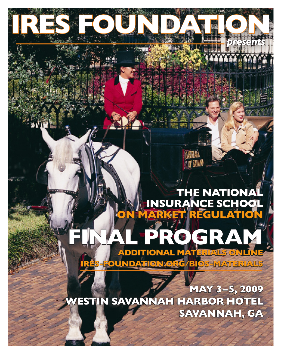## **THE NATIONA** INSURANCE SCHOO ET REGULATIO

**COF SATAND** 

# $\bullet$ ADDITIONAL MATERIALS ON

OUNDATION:ORG/BIOS=MATERIALS

MAY 3-5, 2009 WESTIN SAVANNAH HARBOR HOTEL SAVANNAH, GA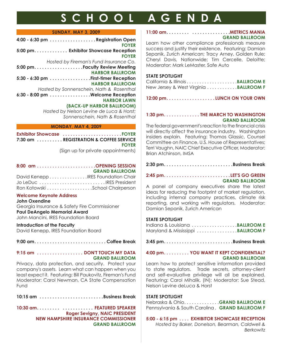## **S C HOOL A GENDA**

#### **SUNDAY, MAY 3, 2009**

| 4:00 - 6:30 pm Registration Open         |
|------------------------------------------|
| <b>FOYER</b>                             |
| 5:00 pm. Exhibitor Showcase Reception    |
| <b>FOYER</b>                             |
| Hosted by Fireman's Fund Insurance Co.   |
|                                          |
| <b>HARBOR BALLROOM</b>                   |
| 5:30 - 6:30 pm First-timer Reception     |
| <b>HARBOR BALLROOM</b>                   |
| Hosted by Sonnenschein, Nath & Rosenthal |
| 6:30 - 8:00 pm Welcome Reception         |
| <b>HARBOR LAWN</b>                       |
| (BACK-UP HARBOR BALLROOM)                |
| Hosted by Nelson Levine de Luca & Horst; |
| Sonnenschein, Nath & Rosenthal           |

#### **MONDAY, MAY 4, 2009**

Exhibitor Showcase ............................. FOYER **7:30 am . . . . . . . . . . REGISTRATION & COFFEE SERVICE FOYER**

(Sign up for private appointments)

#### **8:00 am . . . . . . . . . . . . . . . . . . . . . . .OPENING SESSION GRAND BALLROOM**

| David KeneppIRES Foundation Chair |  |
|-----------------------------------|--|
| Jo LeDuc  IRES President          |  |
|                                   |  |

#### **Welcome Keynote Address**

#### **John Oxendine**

Georgia Insurance & Safety Fire Commissioner **Paul DeAngelo Memorial Award** John Mancini, IRES Foundation Board

#### **Introduction of the Faculty**

David Kenepp, IRES Foundation Board

**9:00 am. . . . . . . . . . . . . . . . . . . . . . . . . . . . Coffee Break**

#### **9:15 am . . . . . . . . . . . . . . . . . . DON'T TOUCH MY DATA GRAND BALLROOM**

Privacy, data protection, and security. Protect your company's assets. Learn what can happen when you least expect it. Featuring: Bill Paukovitz, Fireman's Fund Moderator: Carol Newman, CA State Compensation Fund

10:15 am ........................Business Break

**10:30 am . . . . . . . . . . . . . . . . . . . . . FEATURED SPEAKER Roger Sevigny, NAIC PRESIDENT NEW HAMPSHIRE INSURANCE COMMISSIONER GRAND BALLROOM**

#### **11:00 am . . . . . . . . . . . . . . . . . . . . . . . .METRICS MANIA GRAND BALLROOM**

Learn how other compliance professionals measure success and justify their existence. Featuring: Damian Sepanik, Zurich American; Tracy Arney, Golden Rule; Cheryl Davis, Nationwide; Tim Cercelle, Deloitte; Moderator: Mark LeMaster, Safe Auto

#### **STATE SPOTLIGHT**

| California & Illinois BALLROOM E      |  |
|---------------------------------------|--|
| New Jersey & West Virginia BALLROOM F |  |

**12:00 pm. . . . . . . . . . . . . . . . . . . LUNCH ON YOUR OWN**

#### **1:30 pm. . . . . . . . . . . . . . THE MARCH TO WASHINGTON GRAND BALLROOM**

The federal government's reaction to the fnancial crisis will directly affect the insurance industry. Washington insiders explain. Featuring: Thomas Glassic, Counsel Committee on Finance, U.S. House of Representatives; Terri Vaughn, NAIC Chief Executive Officer, Moderator: Brian Atchinson, IMSA

#### **2:45 pm. . . . . . . . . . . . . . . . . . . . . . . . . . LET'S GO GREEN GRAND BALLROOM**

A panel of company executives share the latest ideas for reducing the footprint of market regulation, including internal company practices, climate risk reporting, and working with regulators. Moderator: Damian Sepanik, Zurich American

#### **STATE SPOTLIGHT**

Indiana & Louisiana . . . . . . . . . . . . . . . . . .**BALLROOM E** Maryland & Mississippi . . . . . . . . . . . . . . . .**BALLROOM F**

**3:45 pm. . . . . . . . . . . . . . . . . . . . . . . . . . .Business Break**

#### **4:00 pm. . . . . . . . . . YOU WANT IT KEPT CONFIDENTIAL? GRAND BALLROOM**

Learn how to protect sensitive information provided to state regulators. Trade secrets, attorney-client and self-evaluative privilege will all be explained. Featuring: Carol Mihalik, (IN); Moderator: Sue Stead, Nelson Levine deLuca & Horst

#### **STATE SPOTLIGHT**

Nebraska & Ohio. . . . . . . . . . . . . .**GRAND BALLROOM E** Pennsylvania & South Carolina . **GRAND BALLROOM F**

**5:00 - 6:15 pm . . . . EXHIBITOR SHOWCASE RECEPTION**  *Hosted by Baker, Donelson, Bearman, Caldwell & Berkowitz*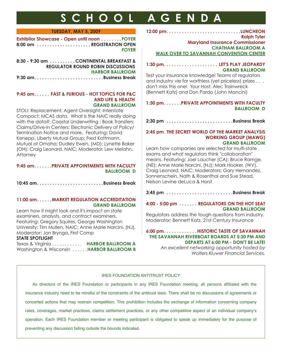## **S C HOOL A GENDA**

#### **TUESDAY, MAY 5, 2009**

| Exhibitor Showcase - Open until noon FOYER |              |
|--------------------------------------------|--------------|
| 8:00 am REGISTRATION OPEN                  |              |
|                                            | <b>FOYER</b> |

| 8:30 - 9:30 am CONTINENTAL BREAKFAST &   |
|------------------------------------------|
| <b>REGULATOR ROUND ROBIN DISCUSSIONS</b> |
| <b>HARBOR BALLROOM</b>                   |
|                                          |

#### **9:45 am. . . . . . FAST & FURIOUS - HOT TOPICS FOR P&C AND LIFE & HEALTH GRAND BALLROOM**

STOLI; Replacement; Agent Oversight; Interstate Compact; MCAS data. What is the NAIC really doing with the data?; Coastal Underwriting ; Book Transfers; Claims/Drive-in Centers; Electronic Delivery of Policy/ Termination Notice and more. Featuring: David Kenepp, Liberty Mutual Group; Fred Kottmann, Mutual of Omaha; Dudley Ewen, (MD); Lynette Baker (OH); Craig Leonard, NAIC; Moderator, Lew Melahn, **Attorney** 

#### **9:45 am. . . . . . .PRIVATE APPOINTMENTS WITH FACULTY BALLROOM D**

10:45 am.........................Business Break

#### **11:00 am. . . . . .MARKET REGULATION ACCREDITATION GRAND BALLROOM**

Learn how it might look and it's impact on state examiners, analysts, and contract examiners. Featuring: Gregory Squires, George Washington University; Tim Mullen, NAIC; Anne Marie Narcini, (NJ), Moderator: Jon Brynga, First Comp

#### **STATE SPOTLIGHT**

Texas & Virginia . . . . . . . . . . . . **HARBOR BALLROOM A** Washington & Wisconsin . . . . . .**HARBOR BALLROOM B** **12:00 pm. . . . . . . . . . . . . . . . . . . . . . . . . . . . .LUNCHEON**

**Ralph Tyler Maryland Insurance Commissioner CHATHAM BALLROOM A WALK OVER TO SAVANNAH CONVENTION CENTER**

#### **1:30 pm. . . . . . . . . . . . . . . . . . . . . LET'S PLAY JEOPARDY GRAND BALLROOM**

Test your insurance knowledge! Teams of regulators and industry vie for worthless (yet priceless) prizes . . . don't miss this one! Your Host: Alec Trainwreck (Bennett Katz) and Don Pardo (John Mancini)

#### **1:30 pm. . . . . . .PRIVATE APPOINTMENTS WITH FACULTY BALLROOM D**

2:30 pm ..........................Business Break

#### **2:45 pm**. **THE SECRET WORLD OF THE MARKET ANALYSIS WORKING GROUP (MAWG) GRAND BALLROOM**

Learn how companies are selected for multi-state exams and what regulators think "collaboration" means. Featuring: Joel Laucher (CA); Bruce Ramge, (NE); Anne Marie Narcini, (NJ); Mark Hooker, (WV), Craig Leonard, NAIC; Moderators: Gary Hernandez, Sonnenschein, Nath & Rosenthal and Sue Stead, Nelson Levine deLuca & Horst

3:45 pm ........................Business Break

#### **4:00 - 5:00 pm . . . . . . . REGULATORS ON THE HOT SEAT GRAND BALLROOM**

Regulators address the tough questions from industry. Moderator: Bennett Katz, 21st Century Insurance

#### **6:00 pm. . . . . . . . . . . . . HISTORIC TASTE OF SAVANNAH THE SAVANNAH RIVERBOAT BOARDS AT 5:30 PM AND DEPARTS AT 6:00 PM - DON'T BE LATE!**

*An excellent networking opportunity hosted by Wolters Kluwer Financial Services.*

#### IRES FOUNDATION ANTITRUST POLICY

As directors of the IRES Foundation or participants in any IRES Foundation meeting, all persons affliated with the insurance industry need to be mindful of the constraints of the antitrust laws. There shall be no discussions of agreements or concerted actions that may restrain competition. This prohibition includes the exchange of information concerning company rates, coverages, market practices, claims settlement practices, or any other competitive aspect of an individual company's operation. Each IRES Foundation member or meeting participant is obligated to speak up immediately for the purpose of preventing any discussion falling outside the bounds indicated.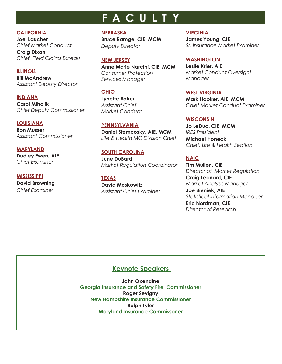## **F ACU L T Y**

**CALIFORNIA**

**Joel Laucher** *Chief Market Conduct*

**Craig Dixon** *Chief, Field Claims Bureau* 

**ILLINOIS Bill McAndrew** *Assistant Deputy Director*

**INDIANA Carol Mihalik** *Chief Deputy Commissioner*

**LOUISIANA Ron Musser** *Assistant Commissioner*

**MARYLAND Dudley Ewen, AIE** *Chief Examiner*

**MISSISSIPPI David Browning** *Chief Examiner*

**NEBRASKA**

**Bruce Ramge, CIE, MCM** *Deputy Director*

**NEW JERSEY Anne Marie Narcini, CIE, MCM** *Consumer Protection Services Manager*

**OHIO Lynette Baker** *Assistant Chief Market Conduct*

**PENNSYLVANIA Daniel Stemcosky, AIE, MCM** *Life & Health MC Division Chief*

**SOUTH CAROLINA June DuBard** *Market Regulation Coordinator*

**TEXAS David Moskowitz** *Assistant Chief Examiner* **VIRGINIA**

**James Young, CIE** *Sr. Insurance Market Examiner*

**WASHINGTON Leslie Krier, AIE** *Market Conduct Oversight Manager*

**WEST VIRGINIA Mark Hooker, AIE, MCM** *Chief Market Conduct Examiner*

**WISCONSIN Jo LeDuc, CIE, MCM** *IRES President* **Michael Honeck** *Chief, Life & Health Section*

**NAIC Tim Mullen, CIE** *Director of Market Regulation*

**Craig Leonard, CIE** *Market Analysis Manager*

**Joe Bieniek, AIE** *Statistical Information Manager* **Eric Nordman, CIE** *Director of Research*

### **Keynote Speakers**

**John Oxendine Georgia Insurance and Safety Fire Commissioner Roger Sevigny New Hampshire Insurance Commissioner Ralph Tyler Maryland Insurance Commissoner**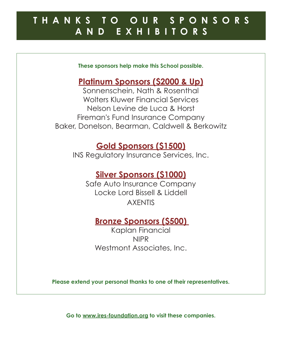## **T H ANK S T O O U R S P O N SORS AND E X H IBIT ORS**

**These sponsors help make this School possible.**

## **Platinum Sponsors (\$2000 & Up)**

Sonnenschein, Nath & Rosenthal Wolters Kluwer Financial Services Nelson Levine de Luca & Horst Fireman's Fund Insurance Company Baker, Donelson, Bearman, Caldwell & Berkowitz

## **Gold Sponsors (\$1500)**

INS Regulatory Insurance Services, Inc.

## **Silver Sponsors (\$1000)**

Safe Auto Insurance Company Locke Lord Bissell & Liddell AXENTIS

## **Bronze Sponsors (\$500)**

Kaplan Financial NIPR Westmont Associates, Inc.

**Please extend your personal thanks to one of their representatives.**

**Go to www.ires-foundation.org to visit these companies.**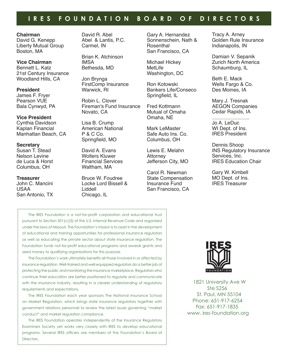### **I R E S FO UNDATI O N B O A R D OF D I R ECT ORS**

#### **Chairman**

David G. Kenepp Liberty Mutual Group Boston, MA

**Vice Chairman** Bennett L. Katz 21st Century Insurance Woodland Hills, CA

**President** James F. Fryer Pearson VUE Bala Cynwyd, PA

#### **Vice President**

Cynthia Davidson Kaplan Financial Manhattan Beach, CA

#### **Secretary** Susan T. Stead

Nelson Levine de Luca & Horst Columbus, OH

**Treasurer** John C. Mancini USAA San Antonio, TX David R. Abel Abel & Lantis, P.C. Carmel, IN

Brian K. Atchinson IMSA Bethesda, MD

Jon Brynga FirstComp Insurance Warwick, RI

Robin L. Clover Fireman's Fund Insurance Novato, CA

Lisa B. Crump American National P & C Co. Springfield, MO

David A. Evans Wolters Kluwer Financial Services Waltham, MA

Bruce W. Foudree Locke Lord Bissell & Liddell Chicago, IL

Gary A. Hernandez Sonnenschein, Nath & Rosenthal San Francisco, CA

Michael Hickey MetLife Washington, DC

Ron Kotowski Bankers Life/Conseco Springfield, IL

Fred Kottmann Mutual of Omaha Omaha, NE

Mark LeMaster Safe Auto Ins. Co. Columbus, OH

Lewis E. Melahn Attorney Jefferson City, MO

Carol R. Newman State Compensation Insurance Fund San Francisco, CA

Tracy A. Arney Golden Rule Insurance Indianapolis, IN

Damian V. Sepanik Zurich North America Schaumburg, IL

Beth E. Mack Wells Fargo & Co. Des Moines, IA

Mary J. Tresnak AEGON Companies Cedar Rapids, IA

Jo A. LeDuc WI Dept. of Ins. IRES President

Dennis Shoop INS Regulatory Insurance Services, Inc. IRES Education Chair

Gary W. Kimbell MO Dept. of Ins. IRES Treasurer

The IRES Foundation is a not-for-proft corporation and educational trust pursuant to Section 501(c)(3) of the U.S. Internal Revenue Code and organized under the laws of Missouri. The Foundation's mission is to assist in the development of educational and training opportunities for professional insurance regulators as well as educating the private sector about state insurance regulation. The Foundation funds not-for-proft educational programs and awards grants and seed money to qualifying organizations for this purpose.

The Foundation's work ultimately benefts all those involved in or affected by insurance regulation. Well-trained and well-equipped regulators do a better job of protecting the public and monitoring the insurance marketplace. Regulators who continue their education are better positioned to regulate and communicate with the insurance industry, resulting in a clearer understanding of regulatory requirements and expectations.

The IRES Foundation each year sponsors The National Insurance School on Market Regulation, which brings state insurance regulators together with government relations personnel to review the latest issues governing "market conduct" and market regulation compliance.

The IRES Foundation operates independently of the Insurance Regulatory Examiners Society yet works very closely with IRES to develop educational programs. Several IRES offcers are members of the Foundation's Board of Directors.



1821 University Ave W Ste S256 St. Paul, MN 55104 Phone: 651-917-6254 Fax: 651-917-1835 www. ires-foundation.org